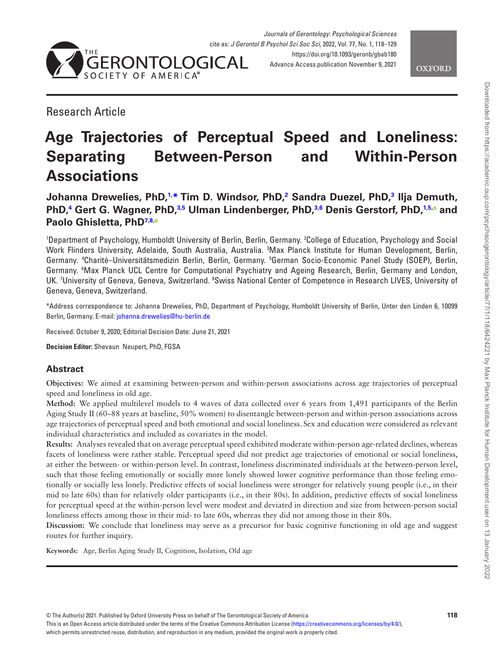

<span id="page-0-2"></span>**OXFORD** 

# Research Article

# **Age Trajectories of Perceptual Speed and Loneliness: Separating Between-Person and Within-Person Associations**

**Johanna Drewelies, PhD[,1](#page-0-0), [\\*](#page-0-1) Tim D. Windsor, PhD,[2](#page-0-2) Sandra Duezel, PhD[,3](#page-0-3) Ilja Demuth, PhD[,4](#page-0-4) Gert G. Wagner, PhD[,3](#page-0-3)[,5](#page-0-5) Ulman Lindenberger, PhD,[3](#page-0-3)[,6](#page-0-6) Denis Gerstorf, PhD[,1,](#page-0-0)[5](#page-0-5)[,](https://orcid.org/0000-0002-2133-9498) and Paolo Ghisletta, PhD[7,](#page-0-7)[8](#page-0-8)[,](https://orcid.org/0000-0001-7731-2406)**

<span id="page-0-6"></span><span id="page-0-5"></span><span id="page-0-4"></span><span id="page-0-3"></span><span id="page-0-0"></span>1 Department of Psychology, Humboldt University of Berlin, Berlin, Germany. <sup>2</sup> College of Education, Psychology and Social Work Flinders University, Adelaide, South Australia, Australia. <sup>3</sup>Max Planck Institute for Human Development, Berlin, Germany. <sup>a</sup>Charité–Universitätsmedizin Berlin, Berlin, Germany. <sup>5</sup>German Socio-Economic Panel Study (SOEP), Berlin, Germany. 6 Max Planck UCL Centre for Computational Psychiatry and Ageing Research, Berlin, Germany and London, UK. 'University of Geneva, Geneva, Switzerland. <sup>8</sup>Swiss National Center of Competence in Research LIVES, University of Geneva, Geneva, Switzerland.

<span id="page-0-8"></span><span id="page-0-7"></span><span id="page-0-1"></span>\*Address correspondence to: Johanna Drewelies, PhD, Department of Psychology, Humboldt University of Berlin, Unter den Linden 6, 10099 Berlin, Germany. E-mail: [johanna.drewelies@hu-berlin.de](mailto:johanna.drewelies@hu-berlin.de?subject=)

Received: October 9, 2020; Editorial Decision Date: June 21, 2021

**Decision Editor:** Shevaun Neupert, PhD, FGSA

# **Abstract**

**Objectives:** We aimed at examining between-person and within-person associations across age trajectories of perceptual speed and loneliness in old age.

**Method:** We applied multilevel models to 4 waves of data collected over 6 years from 1,491 participants of the Berlin Aging Study II (60–88 years at baseline, 50% women) to disentangle between-person and within-person associations across age trajectories of perceptual speed and both emotional and social loneliness. Sex and education were considered as relevant individual characteristics and included as covariates in the model.

**Results:** Analyses revealed that on average perceptual speed exhibited moderate within-person age-related declines, whereas facets of loneliness were rather stable. Perceptual speed did not predict age trajectories of emotional or social loneliness, at either the between- or within-person level. In contrast, loneliness discriminated individuals at the between-person level, such that those feeling emotionally or socially more lonely showed lower cognitive performance than those feeling emotionally or socially less lonely. Predictive effects of social loneliness were stronger for relatively young people (i.e., in their mid to late 60s) than for relatively older participants (i.e., in their 80s). In addition, predictive effects of social loneliness for perceptual speed at the within-person level were modest and deviated in direction and size from between-person social loneliness effects among those in their mid- to late 60s, whereas they did not among those in their 80s.

**Discussion:** We conclude that loneliness may serve as a precursor for basic cognitive functioning in old age and suggest routes for further inquiry.

**Keywords:** Age, Berlin Aging Study II, Cognition, Isolation, Old age

This is an Open Access article distributed under the terms of the Creative Commons Attribution License [\(https://creativecommons.org/licenses/by/4.0/](https://creativecommons.org/licenses/by/4.0/)),

which permits unrestricted reuse, distribution, and reproduction in any medium, provided the original work is properly cited.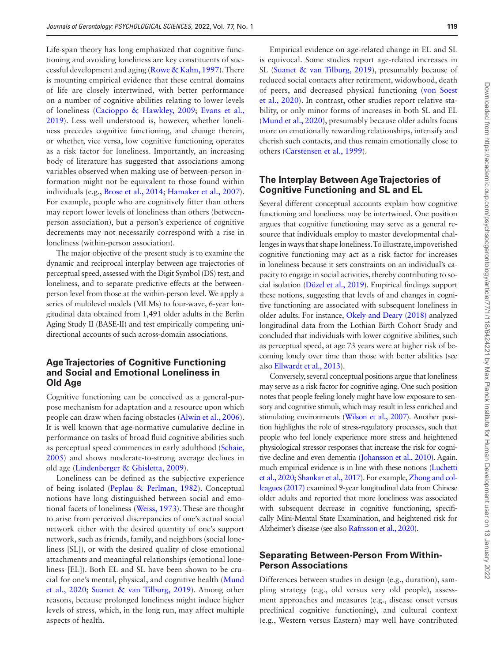Life-span theory has long emphasized that cognitive functioning and avoiding loneliness are key constituents of successful development and aging ([Rowe & Kahn, 1997\)](#page-11-0). There is mounting empirical evidence that these central domains of life are closely intertwined, with better performance on a number of cognitive abilities relating to lower levels of loneliness ([Cacioppo & Hawkley, 2009;](#page-9-0) [Evans et al.,](#page-10-0)  [2019](#page-10-0)). Less well understood is, however, whether loneliness precedes cognitive functioning, and change therein, or whether, vice versa, low cognitive functioning operates as a risk factor for loneliness. Importantly, an increasing body of literature has suggested that associations among variables observed when making use of between-person information might not be equivalent to those found within individuals (e.g., [Brose et al., 2014;](#page-9-1) [Hamaker et al., 2007](#page-10-1)). For example, people who are cognitively fitter than others may report lower levels of loneliness than others (betweenperson association), but a person's experience of cognitive decrements may not necessarily correspond with a rise in loneliness (within-person association).

The major objective of the present study is to examine the dynamic and reciprocal interplay between age trajectories of perceptual speed, assessed with the Digit Symbol (DS) test, and loneliness, and to separate predictive effects at the betweenperson level from those at the within-person level. We apply a series of multilevel models (MLMs) to four-wave, 6-year longitudinal data obtained from 1,491 older adults in the Berlin Aging Study II (BASE-II) and test empirically competing unidirectional accounts of such across-domain associations.

## **Age Trajectories of Cognitive Functioning and Social and Emotional Loneliness in Old Age**

Cognitive functioning can be conceived as a general-purpose mechanism for adaptation and a resource upon which people can draw when facing obstacles ([Alwin et al., 2006](#page-9-2)). It is well known that age-normative cumulative decline in performance on tasks of broad fluid cognitive abilities such as perceptual speed commences in early adulthood [\(Schaie,](#page-11-1)  [2005](#page-11-1)) and shows moderate-to-strong average declines in old age [\(Lindenberger & Ghisletta, 2009](#page-10-2)).

Loneliness can be defined as the subjective experience of being isolated [\(Peplau & Perlman, 1982\)](#page-11-2). Conceptual notions have long distinguished between social and emotional facets of loneliness ([Weiss, 1973\)](#page-11-3). These are thought to arise from perceived discrepancies of one's actual social network either with the desired quantity of one's support network, such as friends, family, and neighbors (social loneliness [SL]), or with the desired quality of close emotional attachments and meaningful relationships (emotional loneliness [EL]). Both EL and SL have been shown to be crucial for one's mental, physical, and cognitive health ([Mund](#page-10-3)  [et al., 2020](#page-10-3); [Suanet & van Tilburg, 2019\)](#page-11-4). Among other reasons, because prolonged loneliness might induce higher levels of stress, which, in the long run, may affect multiple aspects of health.

Empirical evidence on age-related change in EL and SL is equivocal. Some studies report age-related increases in SL ([Suanet & van Tilburg, 2019](#page-11-4)), presumably because of reduced social contacts after retirement, widowhood, death of peers, and decreased physical functioning [\(von Soest](#page-11-5)  [et al., 2020\)](#page-11-5). In contrast, other studies report relative stability, or only minor forms of increases in both SL and EL ([Mund et al., 2020](#page-10-3)), presumably because older adults focus more on emotionally rewarding relationships, intensify and cherish such contacts, and thus remain emotionally close to others ([Carstensen et al., 1999](#page-9-3)).

## **The Interplay Between Age Trajectories of Cognitive Functioning and SL and EL**

Several different conceptual accounts explain how cognitive functioning and loneliness may be intertwined. One position argues that cognitive functioning may serve as a general resource that individuals employ to master developmental challenges in ways that shape loneliness. To illustrate, impoverished cognitive functioning may act as a risk factor for increases in loneliness because it sets constraints on an individual's capacity to engage in social activities, thereby contributing to social isolation [\(Düzel et al., 2019](#page-9-4)). Empirical findings support these notions, suggesting that levels of and changes in cognitive functioning are associated with subsequent loneliness in older adults. For instance, [Okely and Deary \(2018\)](#page-10-4) analyzed longitudinal data from the Lothian Birth Cohort Study and concluded that individuals with lower cognitive abilities, such as perceptual speed, at age 73 years were at higher risk of becoming lonely over time than those with better abilities (see also [Ellwardt et al., 2013](#page-10-5)).

Conversely, several conceptual positions argue that loneliness may serve as a risk factor for cognitive aging. One such position notes that people feeling lonely might have low exposure to sensory and cognitive stimuli, which may result in less enriched and stimulating environments ([Wilson et al., 2007\)](#page-11-6). Another position highlights the role of stress-regulatory processes, such that people who feel lonely experience more stress and heightened physiological stressor responses that increase the risk for cognitive decline and even dementia [\(Johansson et al., 2010](#page-10-6)). Again, much empirical evidence is in line with these notions [\(Luchetti](#page-10-7)  [et al., 2020;](#page-10-7) [Shankar et al., 2017\)](#page-11-7). For example, [Zhong and col](#page-11-8)[leagues \(2017\)](#page-11-8) examined 9-year longitudinal data from Chinese older adults and reported that more loneliness was associated with subsequent decrease in cognitive functioning, specifically Mini-Mental State Examination, and heightened risk for Alzheimer's disease (see also [Rafnsson et al., 2020\)](#page-11-9).

# **Separating Between-Person From Within-Person Associations**

Differences between studies in design (e.g., duration), sampling strategy (e.g., old versus very old people), assessment approaches and measures (e.g., disease onset versus preclinical cognitive functioning), and cultural context (e.g., Western versus Eastern) may well have contributed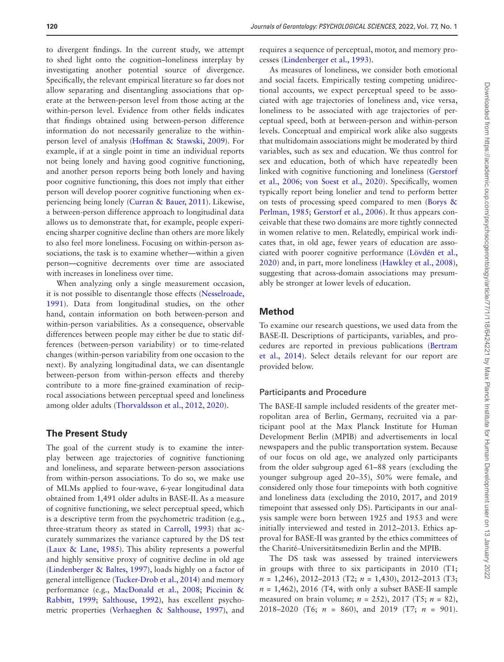to divergent findings. In the current study, we attempt to shed light onto the cognition–loneliness interplay by investigating another potential source of divergence. Specifically, the relevant empirical literature so far does not allow separating and disentangling associations that operate at the between-person level from those acting at the within-person level. Evidence from other fields indicates that findings obtained using between-person difference information do not necessarily generalize to the withinperson level of analysis [\(Hoffman & Stawski, 2009\)](#page-10-8). For example, if at a single point in time an individual reports not being lonely and having good cognitive functioning, and another person reports being both lonely and having poor cognitive functioning, this does not imply that either person will develop poorer cognitive functioning when experiencing being lonely ([Curran & Bauer, 2011](#page-9-5)). Likewise, a between-person difference approach to longitudinal data allows us to demonstrate that, for example, people experiencing sharper cognitive decline than others are more likely to also feel more loneliness. Focusing on within-person associations, the task is to examine whether—within a given person—cognitive decrements over time are associated with increases in loneliness over time.

When analyzing only a single measurement occasion, it is not possible to disentangle those effects [\(Nesselroade,](#page-10-9)  [1991](#page-10-9)). Data from longitudinal studies, on the other hand, contain information on both between-person and within-person variabilities. As a consequence, observable differences between people may either be due to static differences (between-person variability) or to time-related changes (within-person variability from one occasion to the next). By analyzing longitudinal data, we can disentangle between-person from within-person effects and thereby contribute to a more fine-grained examination of reciprocal associations between perceptual speed and loneliness among older adults [\(Thorvaldsson et al., 2012](#page-11-10), [2020\)](#page-11-11).

### **The Present Study**

The goal of the current study is to examine the interplay between age trajectories of cognitive functioning and loneliness, and separate between-person associations from within-person associations. To do so, we make use of MLMs applied to four-wave, 6-year longitudinal data obtained from 1,491 older adults in BASE-II. As a measure of cognitive functioning, we select perceptual speed, which is a descriptive term from the psychometric tradition (e.g., three-stratum theory as stated in [Carroll, 1993\)](#page-9-6) that accurately summarizes the variance captured by the DS test ([Laux & Lane, 1985\)](#page-10-10). This ability represents a powerful and highly sensitive proxy of cognitive decline in old age ([Lindenberger & Baltes, 1997](#page-10-11)), loads highly on a factor of general intelligence ([Tucker-Drob et al., 2014](#page-11-12)) and memory performance (e.g., [MacDonald et al., 2008](#page-10-12); [Piccinin &](#page-11-13)  [Rabbitt, 1999](#page-11-13); [Salthouse, 1992\)](#page-11-14), has excellent psychometric properties ([Verhaeghen & Salthouse, 1997\)](#page-11-15), and

requires a sequence of perceptual, motor, and memory processes [\(Lindenberger et al., 1993\)](#page-10-13).

As measures of loneliness, we consider both emotional and social facets. Empirically testing competing unidirectional accounts, we expect perceptual speed to be associated with age trajectories of loneliness and, vice versa, loneliness to be associated with age trajectories of perceptual speed, both at between-person and within-person levels. Conceptual and empirical work alike also suggests that multidomain associations might be moderated by third variables, such as sex and education. We thus control for sex and education, both of which have repeatedly been linked with cognitive functioning and loneliness [\(Gerstorf](#page-10-14)  [et al., 2006](#page-10-14); [von Soest et al., 2020](#page-11-5)). Specifically, women typically report being lonelier and tend to perform better on tests of processing speed compared to men [\(Borys &](#page-9-7)  [Perlman, 1985](#page-9-7); [Gerstorf et al., 2006](#page-10-14)). It thus appears conceivable that these two domains are more tightly connected in women relative to men. Relatedly, empirical work indicates that, in old age, fewer years of education are associated with poorer cognitive performance (Lövdé[n et al.,](#page-10-15)  [2020](#page-10-15)) and, in part, more loneliness ([Hawkley et al., 2008](#page-10-16)), suggesting that across-domain associations may presumably be stronger at lower levels of education.

## **Method**

To examine our research questions, we used data from the BASE-II. Descriptions of participants, variables, and procedures are reported in previous publications [\(Bertram](#page-9-8)  [et al., 2014\)](#page-9-8). Select details relevant for our report are provided below.

#### Participants and Procedure

The BASE-II sample included residents of the greater metropolitan area of Berlin, Germany, recruited via a participant pool at the Max Planck Institute for Human Development Berlin (MPIB) and advertisements in local newspapers and the public transportation system. Because of our focus on old age, we analyzed only participants from the older subgroup aged 61–88 years (excluding the younger subgroup aged 20–35), 50% were female, and considered only those four timepoints with both cognitive and loneliness data (excluding the 2010, 2017, and 2019 timepoint that assessed only DS). Participants in our analysis sample were born between 1925 and 1953 and were initially interviewed and tested in 2012–2013. Ethics approval for BASE-II was granted by the ethics committees of the Charité–Universitätsmedizin Berlin and the MPIB.

The DS task was assessed by trained interviewers in groups with three to six participants in 2010 (T1; *n* = 1,246), 2012–2013 (T2; *n* = 1,430), 2012–2013 (T3;  $n = 1,462$ , 2016 (T4, with only a subset BASE-II sample measured on brain volume; *n* = 252), 2017 (T5; *n* = 82), 2018–2020 (T6; *n* = 860), and 2019 (T7; *n* = 901).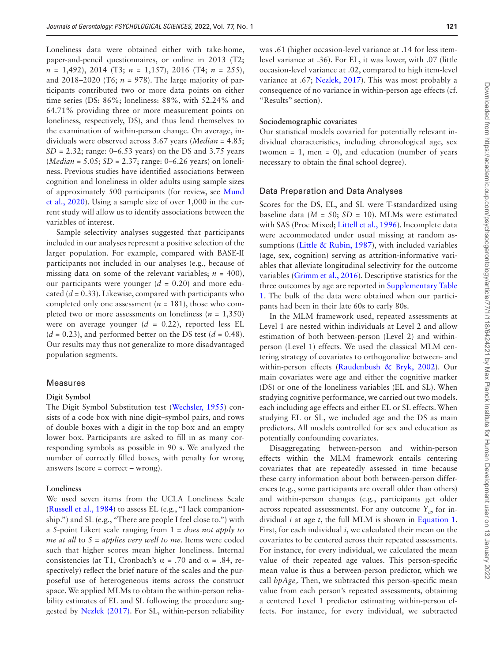Loneliness data were obtained either with take-home, paper-and-pencil questionnaires, or online in 2013 (T2; *n* = 1,492), 2014 (T3; *n* = 1,157), 2016 (T4; *n* = 255), and 2018–2020 (T6;  $n = 978$ ). The large majority of participants contributed two or more data points on either time series (DS: 86%; loneliness: 88%, with 52.24% and 64.71% providing three or more measurement points on loneliness, respectively, DS), and thus lend themselves to the examination of within-person change. On average, individuals were observed across 3.67 years (*Median* = 4.85; *SD* = 2.32; range: 0–6.53 years) on the DS and 3.75 years (*Median* = 5.05; *SD* = 2.37; range: 0–6.26 years) on loneliness. Previous studies have identified associations between cognition and loneliness in older adults using sample sizes of approximately 500 participants (for review, see [Mund](#page-10-3)  [et al., 2020](#page-10-3)). Using a sample size of over 1,000 in the current study will allow us to identify associations between the variables of interest.

Sample selectivity analyses suggested that participants included in our analyses represent a positive selection of the larger population. For example, compared with BASE-II participants not included in our analyses (e.g., because of missing data on some of the relevant variables;  $n = 400$ ), our participants were younger  $(d = 0.20)$  and more educated (*d* = 0.33). Likewise, compared with participants who completed only one assessment ( $n = 181$ ), those who completed two or more assessments on loneliness ( $n = 1,350$ ) were on average younger  $(d = 0.22)$ , reported less EL  $(d = 0.23)$ , and performed better on the DS test  $(d = 0.48)$ . Our results may thus not generalize to more disadvantaged population segments.

#### Measures

#### **Digit Symbol**

The Digit Symbol Substitution test [\(Wechsler, 1955](#page-11-16)) consists of a code box with nine digit–symbol pairs, and rows of double boxes with a digit in the top box and an empty lower box. Participants are asked to fill in as many corresponding symbols as possible in 90 s. We analyzed the number of correctly filled boxes, with penalty for wrong answers (score = correct – wrong).

#### **Loneliness**

We used seven items from the UCLA Loneliness Scale ([Russell et al., 1984\)](#page-11-17) to assess EL (e.g., "I lack companionship.") and SL (e.g., "There are people I feel close to.") with a 5-point Likert scale ranging from 1 = *does not apply to me at all* to 5 = *applies very well to me*. Items were coded such that higher scores mean higher loneliness. Internal consistencies (at T1, Cronbach's  $\alpha$  = .70 and  $\alpha$  = .84, respectively) reflect the brief nature of the scales and the purposeful use of heterogeneous items across the construct space. We applied MLMs to obtain the within-person reliability estimates of EL and SL following the procedure suggested by [Nezlek \(2017\)](#page-10-17). For SL, within-person reliability was .61 (higher occasion-level variance at .14 for less itemlevel variance at .36). For EL, it was lower, with .07 (little occasion-level variance at .02, compared to high item-level variance at .67; [Nezlek, 2017\)](#page-10-17). This was most probably a consequence of no variance in within-person age effects (cf. "Results" section).

#### **Sociodemographic covariates**

Our statistical models covaried for potentially relevant individual characteristics, including chronological age, sex (women  $= 1$ , men  $= 0$ ), and education (number of years necessary to obtain the final school degree).

#### Data Preparation and Data Analyses

Scores for the DS, EL, and SL were T-standardized using baseline data (*M* = 50; *SD* = 10). MLMs were estimated with SAS (Proc Mixed; [Littell et al., 1996](#page-10-18)). Incomplete data were accommodated under usual missing at random as-sumptions ([Little & Rubin, 1987](#page-10-19)), with included variables (age, sex, cognition) serving as attrition-informative variables that alleviate longitudinal selectivity for the outcome variables ([Grimm et al., 2016](#page-10-20)). Descriptive statistics for the three outcomes by age are reported in [Supplementary Table](http://academic.oup.com/psychsocgerontology/article-lookup/doi/10.1093/geronb/gbab180#supplementary-data)  [1.](http://academic.oup.com/psychsocgerontology/article-lookup/doi/10.1093/geronb/gbab180#supplementary-data) The bulk of the data were obtained when our participants had been in their late 60s to early 80s.

In the MLM framework used, repeated assessments at Level 1 are nested within individuals at Level 2 and allow estimation of both between-person (Level 2) and withinperson (Level 1) effects. We used the classical MLM centering strategy of covariates to orthogonalize between- and within-person effects ([Raudenbush & Bryk, 2002](#page-11-18)). Our main covariates were age and either the cognitive marker (DS) or one of the loneliness variables (EL and SL). When studying cognitive performance, we carried out two models, each including age effects and either EL or SL effects. When studying EL or SL, we included age and the DS as main predictors. All models controlled for sex and education as potentially confounding covariates.

Disaggregating between-person and within-person effects within the MLM framework entails centering covariates that are repeatedly assessed in time because these carry information about both between-person differences (e.g., some participants are overall older than others) and within-person changes (e.g., participants get older across repeated assessments). For any outcome  $Y_{i}$ , for individual *i* at age *t*, the full MLM is shown in [Equation 1](#page-4-0). First, for each individual *i*, we calculated their mean on the covariates to be centered across their repeated assessments. For instance, for every individual, we calculated the mean value of their repeated age values. This person-specific mean value is thus a between-person predictor, which we call *bpAge<sub>i</sub>*. Then, we subtracted this person-specific mean value from each person's repeated assessments, obtaining a centered Level 1 predictor estimating within-person effects. For instance, for every individual, we subtracted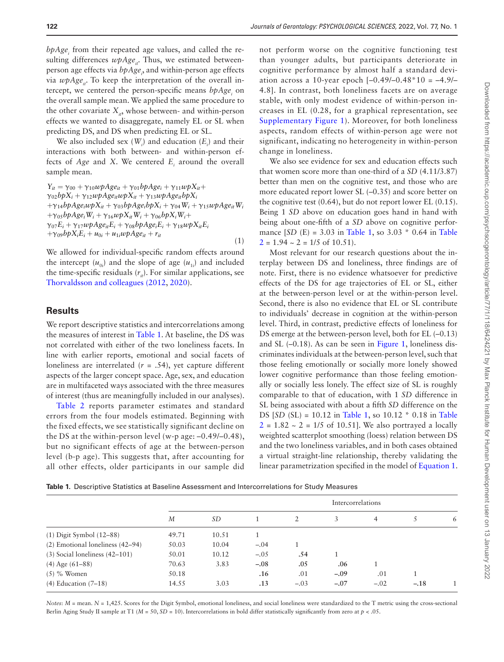*bpAge<sub>i</sub>* from their repeated age values, and called the resulting differences  $wpAge<sub>i</sub>$ . Thus, we estimated betweenperson age effects via  $bpAge$ , and within-person age effects via  $wpAge_i$ . To keep the interpretation of the overall intercept, we centered the person-specific means  $bpAge_i$  on the overall sample mean. We applied the same procedure to the other covariate  $X_{i}$ , whose between- and within-person effects we wanted to disaggregate, namely EL or SL when predicting DS, and DS when predicting EL or SL.

We also included sex  $(W_i)$  and education  $(E_i)$  and their interactions with both between- and within-person effects of *Age* and *X*. We centered  $E_i$  around the overall sample mean.

 $Y_{it} = \gamma_{00} + \gamma_{10} \omega p A g e_{it} + \gamma_{01} b p A g e_{i} + \gamma_{11} \omega p X_{it} +$  $\gamma_{02}b\phi X_i + \gamma_{12}w\phi A g e_{it}w\phi X_{it} + \gamma_{13}w\phi A g e_{it}b\phi X_i$  $+\gamma_{14}bpAge_iwpX_{it} + \gamma_{03}bpAge_ibpX_i + \gamma_{04}W_i + \gamma_{15}wpAge_{it}W_i$  $+\gamma_{05}b\beta\log_i W_i + \gamma_{16}\omega\beta X_iW_i + \gamma_{06}b\beta X_iW_i +$  $\gamma_{07}E_i + \gamma_{17}\omega pAge_{it}E_i + \gamma_{08}bpAge_iE_i + \gamma_{18}\omega pX_{it}E_i$  $+\gamma_{09}b\gamma_{i}E_{i} + u_{0i} + u_{1i}\omega_{i}P_{i}A_{ge_{it}} + r_{it}$ (1)

<span id="page-4-0"></span>We allowed for individual-specific random effects around the intercept  $(u_{0i})$  and the slope of age  $(u_{1i})$  and included the time-specific residuals  $(r<sub>i</sub>)$ . For similar applications, see [Thorvaldsson and colleagues \(2012](#page-11-10), [2020](#page-11-11)).

### **Results**

We report descriptive statistics and intercorrelations among the measures of interest in [Table 1.](#page-4-1) At baseline, the DS was not correlated with either of the two loneliness facets. In line with earlier reports, emotional and social facets of loneliness are interrelated  $(r = .54)$ , yet capture different aspects of the larger concept space. Age, sex, and education are in multifaceted ways associated with the three measures of interest (thus are meaningfully included in our analyses).

[Table 2](#page-5-0) reports parameter estimates and standard errors from the four models estimated. Beginning with the fixed effects, we see statistically significant decline on the DS at the within-person level (w-p age: –0.49/–0.48), but no significant effects of age at the between-person level (b-p age). This suggests that, after accounting for all other effects, older participants in our sample did

not perform worse on the cognitive functioning test than younger adults, but participants deteriorate in cognitive performance by almost half a standard deviation across a 10-year epoch  $[-0.49/-0.48*10 = -4.9/-$ 4.8]. In contrast, both loneliness facets are on average stable, with only modest evidence of within-person increases in EL (0.28, for a graphical representation, see [Supplementary Figure 1](http://academic.oup.com/psychsocgerontology/article-lookup/doi/10.1093/geronb/gbab180#supplementary-data)). Moreover, for both loneliness aspects, random effects of within-person age were not significant, indicating no heterogeneity in within-person change in loneliness.

We also see evidence for sex and education effects such that women score more than one-third of a *SD* (4.11/3.87) better than men on the cognitive test, and those who are more educated report lower SL (–0.35) and score better on the cognitive test (0.64), but do not report lower EL (0.15). Being 1 *SD* above on education goes hand in hand with being about one-fifth of a *SD* above on cognitive performance  $[SD (E) = 3.03$  in [Table 1,](#page-4-1) so  $3.03 * 0.64$  in Table  $2 = 1.94 \sim 2 = 1/5$  $2 = 1.94 \sim 2 = 1/5$  of 10.51).

Most relevant for our research questions about the interplay between DS and loneliness, three findings are of note. First, there is no evidence whatsoever for predictive effects of the DS for age trajectories of EL or SL, either at the between-person level or at the within-person level. Second, there is also no evidence that EL or SL contribute to individuals' decrease in cognition at the within-person level. Third, in contrast, predictive effects of loneliness for DS emerge at the between-person level, both for EL (–0.13) and SL (–0.18). As can be seen in [Figure 1](#page-6-0), loneliness discriminates individuals at the between-person level, such that those feeling emotionally or socially more lonely showed lower cognitive performance than those feeling emotionally or socially less lonely. The effect size of SL is roughly comparable to that of education, with 1 *SD* difference in SL being associated with about a fifth *SD* difference on the DS [*SD* (SL) = 10.12 in [Table 1](#page-4-1), so 10.12 \* 0.18 in [Table](#page-5-0)   $2 = 1.82 \approx 2 = 1/5$  $2 = 1.82 \approx 2 = 1/5$  of 10.51]. We also portrayed a locally weighted scatterplot smoothing (loess) relation between DS and the two loneliness variables, and in both cases obtained a virtual straight-line relationship, thereby validating the linear parametrization specified in the model of [Equation 1](#page-4-0).

<span id="page-4-1"></span>**Table 1.** Descriptive Statistics at Baseline Assessment and Intercorrelations for Study Measures

|                                    | Intercorrelations |       |        |        |        |        |        |  |
|------------------------------------|-------------------|-------|--------|--------|--------|--------|--------|--|
|                                    | M                 | SD    |        | 2      | 3      | 4      |        |  |
| $(1)$ Digit Symbol $(12-88)$       | 49.71             | 10.51 |        |        |        |        |        |  |
| (2) Emotional loneliness (42–94)   | 50.03             | 10.04 | $-.04$ |        |        |        |        |  |
| $(3)$ Social loneliness $(42-101)$ | 50.01             | 10.12 | $-.05$ | .54    |        |        |        |  |
| $(4)$ Age $(61-88)$                | 70.63             | 3.83  | $-.08$ | .05    | .06    |        |        |  |
| $(5)$ % Women                      | 50.18             |       | .16    | .01    | $-.09$ | .01    |        |  |
| $(4)$ Education $(7-18)$           | 14.55             | 3.03  | .13    | $-.03$ | $-.07$ | $-.02$ | $-.18$ |  |

*Notes*:  $M =$  mean.  $N = 1,425$ . Scores for the Digit Symbol, emotional loneliness, and social loneliness were standardized to the T metric using the cross-sectional Berlin Aging Study II sample at T1 (*M* = 50, *SD* = 10). Intercorrelations in bold differ statistically significantly from zero at *p* < .05.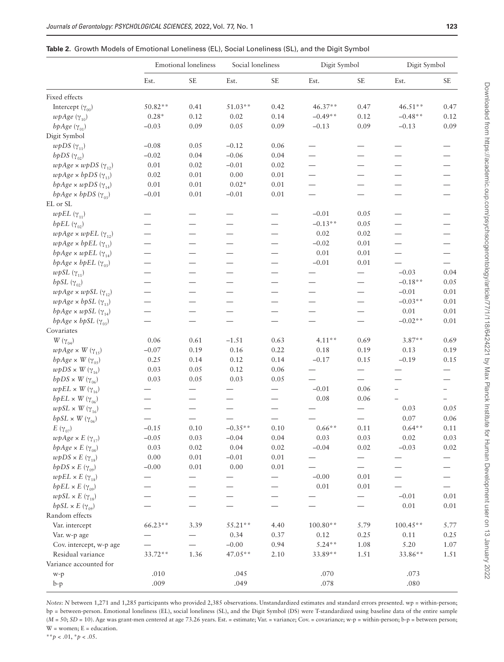<span id="page-5-0"></span>

| <b>Table 2.</b> Growth Models of Emotional Loneliness (EL), Social Loneliness (SL), and the Digit Symbol |  |  |
|----------------------------------------------------------------------------------------------------------|--|--|
|----------------------------------------------------------------------------------------------------------|--|--|

|                                                                   | <b>Emotional loneliness</b> |                          | Social loneliness        |                          | Digit Symbol             |                          | Digit Symbol             |                          |
|-------------------------------------------------------------------|-----------------------------|--------------------------|--------------------------|--------------------------|--------------------------|--------------------------|--------------------------|--------------------------|
|                                                                   | Est.                        | SE                       | Est.                     | <b>SE</b>                | Est.                     | <b>SE</b>                | Est.                     | <b>SE</b>                |
| Fixed effects                                                     |                             |                          |                          |                          |                          |                          |                          |                          |
| Intercept $(\gamma_{00})$                                         | 50.82**                     | 0.41                     | $51.03**$                | 0.42                     | $46.37**$                | 0.47                     | 46.51**                  | 0.47                     |
| $wpAge$ ( $\gamma_{10}$ )                                         | $0.28*$                     | 0.12                     | 0.02                     | 0.14                     | $-0.49**$                | 0.12                     | $-0.48**$                | 0.12                     |
| bpAge $(\gamma_{01})$                                             | $-0.03$                     | 0.09                     | 0.05                     | 0.09                     | $-0.13$                  | 0.09                     | $-0.13$                  | 0.09                     |
| Digit Symbol                                                      |                             |                          |                          |                          |                          |                          |                          |                          |
| $wpDS(\gamma_{11})$                                               | $-0.08$                     | 0.05                     | $-0.12$                  | 0.06                     |                          |                          |                          |                          |
| bpDS $(\gamma_{02})$                                              | $-0.02$                     | 0.04                     | $-0.06$                  | 0.04                     |                          |                          |                          |                          |
| $wpAge \times wpDS (\gamma_{12})$                                 | 0.01                        | $0.02\,$                 | $-0.01$                  | 0.02                     | $\overline{\phantom{0}}$ | $\overline{\phantom{0}}$ |                          |                          |
| $wpAge \times bpDS (\gamma_{13})$                                 | 0.02                        | $0.01\,$                 | 0.00                     | 0.01                     |                          |                          |                          |                          |
| bpAge $\times$ wpDS ( $\gamma_{14}$ )                             | 0.01                        | $0.01\,$                 | $0.02*$                  | 0.01                     |                          | $\overline{\phantom{0}}$ |                          |                          |
| bpAge $\times$ bpDS ( $\gamma_{03}$ )                             | $-0.01$                     | 0.01                     | $-0.01$                  | 0.01                     |                          |                          |                          |                          |
| EL or SL                                                          |                             |                          |                          |                          |                          |                          |                          |                          |
| $wpEL(\gamma_{11})$                                               |                             |                          | $\overline{\phantom{0}}$ | $\qquad \qquad -$        | $-0.01$                  | 0.05                     |                          |                          |
| bpEL $(\gamma_{02})$                                              |                             |                          |                          |                          | $-0.13**$                | 0.05                     | $\overline{\phantom{0}}$ |                          |
| $wpAge \times wpEL (\gamma_{12})$                                 |                             |                          | $\overline{\phantom{0}}$ |                          | 0.02                     | 0.02                     | $\overline{\phantom{0}}$ |                          |
| $wpAge \times bpEL$ ( $\gamma_{13}$ )                             |                             |                          | $\overline{\phantom{0}}$ | $\overline{\phantom{0}}$ | $-0.02$                  | 0.01                     | $\overline{\phantom{0}}$ |                          |
| bpAge $\times$ wpEL ( $\gamma_{14}$ )                             |                             |                          |                          |                          | 0.01                     | 0.01                     |                          |                          |
| bpAge $\times$ bpEL ( $\gamma_{03}$ )                             |                             |                          | $\overline{\phantom{0}}$ |                          | $-0.01$                  | 0.01                     |                          | $\overline{\phantom{0}}$ |
| $wpSL(\gamma_{11})$                                               |                             |                          | $\overline{\phantom{0}}$ |                          |                          | $\overline{\phantom{0}}$ | $-0.03$                  | 0.04                     |
| bpSL $(\gamma_{02})$                                              |                             |                          | $\overline{\phantom{0}}$ |                          |                          | $\overline{\phantom{0}}$ | $-0.18**$                | 0.05                     |
| $wpAge \times wpSL(\gamma_{12})$                                  |                             | $\overline{\phantom{0}}$ | $\overline{\phantom{0}}$ | $\overline{\phantom{0}}$ | $\overline{\phantom{0}}$ | $\overline{\phantom{0}}$ | $-0.01$                  | 0.01                     |
| $wpAge \times bpSL$ ( $\gamma_{13}$ )                             |                             |                          | $\overline{\phantom{0}}$ |                          |                          |                          | $-0.03**$                | 0.01                     |
| bpAge $\times$ wpSL ( $\gamma_{14}$ )                             |                             |                          |                          |                          |                          |                          | 0.01                     | 0.01                     |
| bpAge $\times$ bpSL ( $\gamma_{03}$ )                             |                             | $\overline{\phantom{0}}$ | $\overline{\phantom{0}}$ | $\overline{\phantom{0}}$ |                          | $\overline{\phantom{0}}$ | $-0.02**$                | 0.01                     |
| Covariates                                                        |                             |                          |                          |                          |                          |                          |                          |                          |
| $W(\gamma_{04})$                                                  | 0.06                        | 0.61                     | $-1.51$                  | 0.63                     | $4.11**$                 | 0.69                     | $3.87**$                 | 0.69                     |
| $wpAge \times W(\gamma_{15})$                                     | $-0.07$                     | 0.19                     | 0.16                     | 0.22                     | 0.18                     | 0.19                     | 0.13                     | 0.19                     |
| bpAge $\times$ W ( $\gamma_{05}$ )                                | 0.25                        | 0.14                     | 0.12                     | 0.14                     | $-0.17$                  | 0.15                     | $-0.19$                  | 0.15                     |
| $wpDS \times W(\gamma_{16})$                                      | 0.03                        | 0.05                     | 0.12                     | 0.06                     |                          |                          |                          |                          |
| $b pDS \times W(\gamma_{06})$                                     | 0.03                        | 0.05                     | 0.03                     | 0.05                     |                          |                          |                          |                          |
| $wpEL \times W(\gamma_{16})$                                      |                             |                          | $\overline{\phantom{0}}$ | $\overline{\phantom{0}}$ | $-0.01$                  | 0.06                     |                          | $\overline{\phantom{0}}$ |
| bpEL $\times$ W ( $\gamma_{06}$ )                                 |                             |                          |                          |                          | $0.08\,$                 | 0.06                     |                          |                          |
| $wpSL \times W(\gamma_{16})$                                      |                             | $\overline{\phantom{0}}$ |                          | $\overline{\phantom{0}}$ |                          | $\overline{\phantom{0}}$ | 0.03                     | 0.05                     |
| $bpSL \times W(\gamma_{06})$                                      |                             |                          |                          |                          |                          |                          | 0.07                     | 0.06                     |
| $E\ (\gamma_{07})$                                                | $-0.15$                     | 0.10                     | $-0.35**$                | 0.10                     | $0.66**$                 | 0.11                     | $0.64**$                 | 0.11                     |
| $wpAge \times E(\gamma_{17})$                                     | $-0.05$                     | 0.03                     | $-0.04$                  | 0.04                     | 0.03                     | 0.03                     | 0.02                     | $0.03\,$                 |
| bpAge $\times$ E ( $\gamma_{08}$ )                                | 0.03                        | 0.02                     | 0.04                     | 0.02                     | $-0.04$                  | 0.02                     | $-0.03$                  | 0.02                     |
| $wpDS \times E(\gamma_{18})$                                      | 0.00                        | $0.01\,$                 | $-0.01$                  | 0.01                     |                          | $\qquad \qquad$          |                          |                          |
| $bpDS \times E \; (\gamma_{09})$                                  | $-0.00$                     | 0.01                     | 0.00                     | 0.01                     |                          | $\qquad \qquad -$        |                          |                          |
| $wpEL \times E(\gamma_{18})$                                      |                             |                          |                          |                          | $-0.00$                  | 0.01                     |                          |                          |
| bpEL $\times$ E ( $\gamma_{09}$ )                                 |                             |                          |                          |                          | 0.01                     | 0.01                     |                          |                          |
|                                                                   |                             |                          |                          |                          |                          |                          | $-0.01$                  | 0.01                     |
| $wpSL \times E(\gamma_{18})$<br>bpSL $\times$ E ( $\gamma_{09}$ ) |                             |                          |                          |                          |                          |                          | 0.01                     | $0.01\,$                 |
| Random effects                                                    |                             |                          |                          |                          |                          |                          |                          |                          |
| Var. intercept                                                    | $66.23**$                   | 3.39                     | $55.21**$                |                          | 100.80**                 | 5.79                     |                          |                          |
|                                                                   |                             |                          |                          | 4.40                     |                          |                          | 100.45**                 | 5.77                     |
| Var. w-p age                                                      |                             |                          | 0.34                     | 0.37                     | 0.12                     | 0.25                     | 0.11                     | 0.25                     |
| Cov. intercept, w-p age                                           |                             |                          | $-0.00$                  | 0.94                     | $5.24**$                 | 1.08                     | 5.20                     | 1.07                     |
| Residual variance                                                 | 33.72**                     | 1.36                     | $47.05**$                | 2.10                     | 33.89**                  | 1.51                     | 33.86**                  | 1.51                     |
| Variance accounted for                                            |                             |                          |                          |                          |                          |                          |                          |                          |
| w-p                                                               | .010                        |                          | .045                     |                          | .070                     |                          | .073                     |                          |
| $b-p$                                                             | .009                        |                          | .049                     |                          | $.078\,$                 |                          | .080                     |                          |

*Notes*: *N* between 1,271 and 1,285 participants who provided 2,385 observations. Unstandardized estimates and standard errors presented. wp = within-person; bp = between-person. Emotional loneliness (EL), social loneliness (SL), and the Digit Symbol (DS) were T-standardized using baseline data of the entire sample ( $M = 50$ ;  $SD = 10$ ). Age was grant-men centered at age 73.26 years. Est. = estimate; Var. = variance; Cov. = covariance; w-p = within-person; b-p = between person; W = women; E = education.

\*\**p* < .01, \**p* < .05.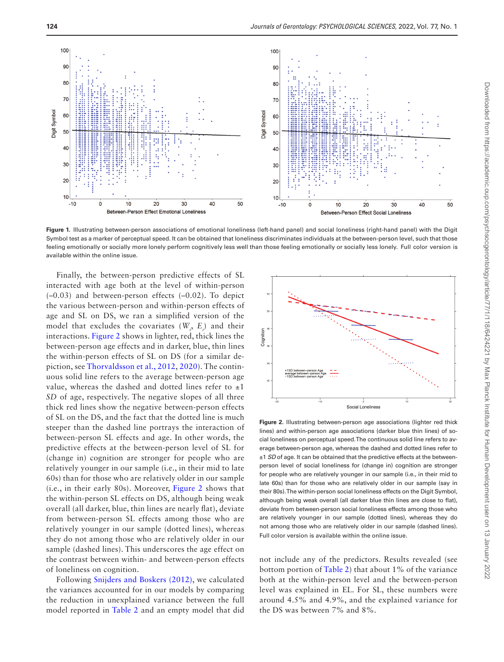

<span id="page-6-0"></span>**Figure 1.** Illustrating between-person associations of emotional loneliness (left-hand panel) and social loneliness (right-hand panel) with the Digit Symbol test as a marker of perceptual speed. It can be obtained that loneliness discriminates individuals at the between-person level, such that those feeling emotionally or socially more lonely perform cognitively less well than those feeling emotionally or socially less lonely. Full color version is available within the online issue.

Finally, the between-person predictive effects of SL interacted with age both at the level of within-person (–0.03) and between-person effects (–0.02). To depict the various between-person and within-person effects of age and SL on DS, we ran a simplified version of the model that excludes the covariates  $(W_i, E_i)$  and their interactions. [Figure 2](#page-6-1) shows in lighter, red, thick lines the between-person age effects and in darker, blue, thin lines the within-person effects of SL on DS (for a similar depiction, see [Thorvaldsson et al., 2012,](#page-11-10) [2020\)](#page-11-11). The continuous solid line refers to the average between-person age value, whereas the dashed and dotted lines refer to  $\pm 1$ *SD* of age, respectively. The negative slopes of all three thick red lines show the negative between-person effects of SL on the DS, and the fact that the dotted line is much steeper than the dashed line portrays the interaction of between-person SL effects and age. In other words, the predictive effects at the between-person level of SL for (change in) cognition are stronger for people who are relatively younger in our sample (i.e., in their mid to late 60s) than for those who are relatively older in our sample (i.e., in their early 80s). Moreover, [Figure 2](#page-6-1) shows that the within-person SL effects on DS, although being weak overall (all darker, blue, thin lines are nearly flat), deviate from between-person SL effects among those who are relatively younger in our sample (dotted lines), whereas they do not among those who are relatively older in our sample (dashed lines). This underscores the age effect on the contrast between within- and between-person effects of loneliness on cognition.

Following [Snijders and Boskers \(2012\)](#page-11-19), we calculated the variances accounted for in our models by comparing the reduction in unexplained variance between the full model reported in [Table 2](#page-5-0) and an empty model that did



<span id="page-6-1"></span>**Figure 2.** Illustrating between-person age associations (lighter red thick lines) and within-person age associations (darker blue thin lines) of social loneliness on perceptual speed. The continuous solid line refers to average between-person age, whereas the dashed and dotted lines refer to ±1 *SD* of age. It can be obtained that the predictive effects at the betweenperson level of social loneliness for (change in) cognition are stronger for people who are relatively younger in our sample (i.e., in their mid to late 60s) than for those who are relatively older in our sample (say in their 80s). The within-person social loneliness effects on the Digit Symbol, although being weak overall (all darker blue thin lines are close to flat), deviate from between-person social loneliness effects among those who are relatively younger in our sample (dotted lines), whereas they do not among those who are relatively older in our sample (dashed lines). Full color version is available within the online issue.

not include any of the predictors. Results revealed (see bottom portion of [Table 2\)](#page-5-0) that about 1% of the variance both at the within-person level and the between-person level was explained in EL. For SL, these numbers were around 4.5% and 4.9%, and the explained variance for the DS was between 7% and 8%.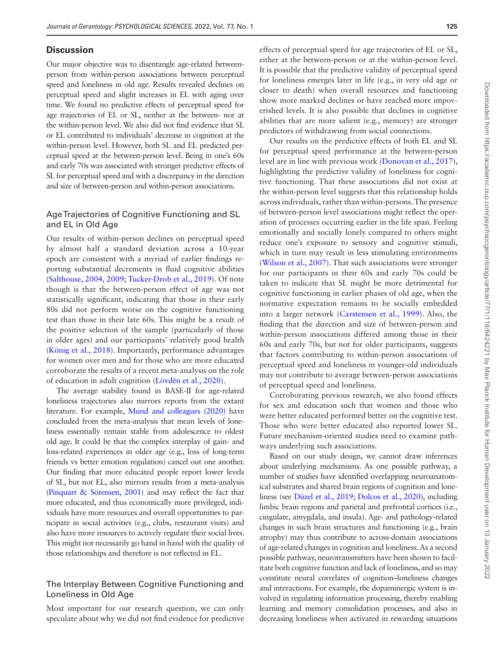## **Discussion**

Our major objective was to disentangle age-related betweenperson from within-person associations between perceptual speed and loneliness in old age. Results revealed declines on perceptual speed and slight increases in EL with aging over time. We found no predictive effects of perceptual speed for age trajectories of EL or SL, neither at the between- nor at the within-person level. We also did not find evidence that SL or EL contributed to individuals' decrease in cognition at the within-person level. However, both SL and EL predicted perceptual speed at the between-person level. Being in one's 60s and early 70s was associated with stronger predictive effects of SL for perceptual speed and with a discrepancy in the direction and size of between-person and within-person associations.

### Age Trajectories of Cognitive Functioning and SL and EL in Old Age

Our results of within-person declines on perceptual speed by almost half a standard deviation across a 10-year epoch are consistent with a myriad of earlier findings reporting substantial decrements in fluid cognitive abilities ([Salthouse, 2004](#page-11-20), [2009;](#page-11-21) [Tucker-Drob et al., 2019\)](#page-11-22). Of note though is that the between-person effect of age was not statistically significant, indicating that those in their early 80s did not perform worse on the cognitive functioning test than those in their late 60s. This might be a result of the positive selection of the sample (particularly of those in older ages) and our participants' relatively good health ([König et al., 2018\)](#page-10-21). Importantly, performance advantages for women over men and for those who are more educated corroborate the results of a recent meta-analysis on the role of education in adult cognition (Lövdé[n et al., 2020\)](#page-10-15).

The average stability found in BASE-II for age-related loneliness trajectories also mirrors reports from the extant literature. For example, [Mund and colleagues \(2020\)](#page-10-3) have concluded from the meta-analysis that mean levels of loneliness essentially remain stable from adolescence to oldest old age. It could be that the complex interplay of gain- and loss-related experiences in older age (e.g., loss of long-term friends vs better emotion regulation) cancel out one another. Our finding that more educated people report lower levels of SL, but not EL, also mirrors results from a meta-analysis ([Pinquart & Sörensen, 2001\)](#page-11-23) and may reflect the fact that more educated, and thus economically more privileged, individuals have more resources and overall opportunities to participate in social activities (e.g., clubs, restaurant visits) and also have more resources to actively regulate their social lives. This might not necessarily go hand in hand with the quality of those relationships and therefore is not reflected in EL.

## The Interplay Between Cognitive Functioning and Loneliness in Old Age

Most important for our research question, we can only speculate about why we did not find evidence for predictive effects of perceptual speed for age trajectories of EL or SL, either at the between-person or at the within-person level. It is possible that the predictive validity of perceptual speed for loneliness emerges later in life (e.g., in very old age or closer to death) when overall resources and functioning show more marked declines or have reached more impoverished levels. It is also possible that declines in cognitive abilities that are more salient (e.g., memory) are stronger predictors of withdrawing from social connections.

Our results on the predictive effects of both EL and SL for perceptual speed performance at the between-person level are in line with previous work ([Donovan et al., 2017](#page-9-9)), highlighting the predictive validity of loneliness for cognitive functioning. That these associations did not exist at the within-person level suggests that this relationship holds across individuals, rather than within-persons. The presence of between-person level associations might reflect the operation of processes occurring earlier in the life span. Feeling emotionally and socially lonely compared to others might reduce one's exposure to sensory and cognitive stimuli, which in turn may result in less stimulating environments ([Wilson et al., 2007\)](#page-11-6). That such associations were stronger for our participants in their 60s and early 70s could be taken to indicate that SL might be more detrimental for cognitive functioning in earlier phases of old age, when the normative expectation remains to be socially embedded into a larger network [\(Carstensen et al., 1999\)](#page-9-3). Also, the finding that the direction and size of between-person and within-person associations differed among those in their 60s and early 70s, but not for older participants, suggests that factors contributing to within-person associations of perceptual speed and loneliness in younger-old individuals may not contribute to average between-person associations of perceptual speed and loneliness.

Corroborating previous research, we also found effects for sex and education such that women and those who were better educated performed better on the cognitive test. Those who were better educated also reported lower SL. Future mechanism-oriented studies need to examine pathways underlying such associations.

Based on our study design, we cannot draw inferences about underlying mechanisms. As one possible pathway, a number of studies have identified overlapping neuroanatomical substrates and shared brain regions of cognition and loneliness (see [Düzel et al., 2019](#page-9-4); [Dolcos et al., 2020\)](#page-9-10), including limbic brain regions and parietal and prefrontal cortices (i.e., cingulate, amygdala, and insula). Age- and pathology-related changes in such brain structures and functioning (e.g., brain atrophy) may thus contribute to across-domain associations of age-related changes in cognition and loneliness. As a second possible pathway, neurotransmitters have been shown to facilitate both cognitive function and lack of loneliness, and so may constitute neural correlates of cognition–loneliness changes and interactions. For example, the dopaminergic system is involved in regulating information processing, thereby enabling learning and memory consolidation processes, and also in decreasing loneliness when activated in rewarding situations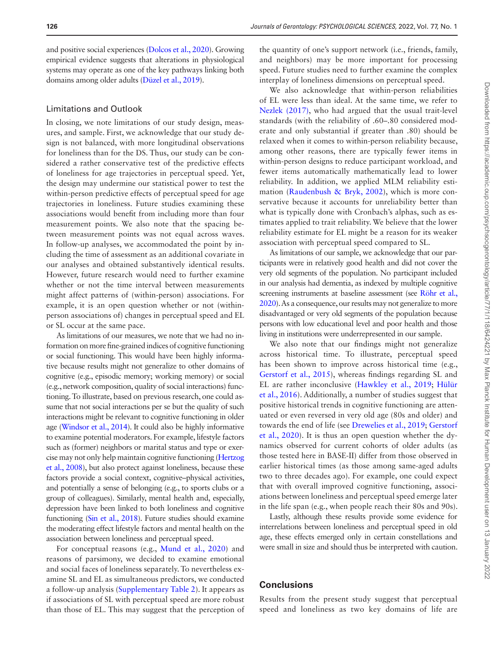and positive social experiences ([Dolcos et al., 2020](#page-9-10)). Growing empirical evidence suggests that alterations in physiological systems may operate as one of the key pathways linking both domains among older adults ([Düzel et al., 2019\)](#page-9-4).

#### Limitations and Outlook

In closing, we note limitations of our study design, measures, and sample. First, we acknowledge that our study design is not balanced, with more longitudinal observations for loneliness than for the DS. Thus, our study can be considered a rather conservative test of the predictive effects of loneliness for age trajectories in perceptual speed. Yet, the design may undermine our statistical power to test the within-person predictive effects of perceptual speed for age trajectories in loneliness. Future studies examining these associations would benefit from including more than four measurement points. We also note that the spacing between measurement points was not equal across waves. In follow-up analyses, we accommodated the point by including the time of assessment as an additional covariate in our analyses and obtained substantively identical results. However, future research would need to further examine whether or not the time interval between measurements might affect patterns of (within-person) associations. For example, it is an open question whether or not (withinperson associations of) changes in perceptual speed and EL or SL occur at the same pace.

As limitations of our measures, we note that we had no information on more fine-grained indices of cognitive functioning or social functioning. This would have been highly informative because results might not generalize to other domains of cognitive (e.g., episodic memory; working memory) or social (e.g., network composition, quality of social interactions) functioning. To illustrate, based on previous research, one could assume that not social interactions per se but the quality of such interactions might be relevant to cognitive functioning in older age ([Windsor et al., 2014\)](#page-11-24). It could also be highly informative to examine potential moderators. For example, lifestyle factors such as (former) neighbors or marital status and type or exercise may not only help maintain cognitive functioning ([Hertzog](#page-10-22)  [et al., 2008](#page-10-22)), but also protect against loneliness, because these factors provide a social context, cognitive–physical activities, and potentially a sense of belonging (e.g., to sports clubs or a group of colleagues). Similarly, mental health and, especially, depression have been linked to both loneliness and cognitive functioning [\(Sin et al., 2018\)](#page-11-25). Future studies should examine the moderating effect lifestyle factors and mental health on the association between loneliness and perceptual speed.

For conceptual reasons (e.g., [Mund et al., 2020](#page-10-3)) and reasons of parsimony, we decided to examine emotional and social faces of loneliness separately. To nevertheless examine SL and EL as simultaneous predictors, we conducted a follow-up analysis ([Supplementary Table 2\)](http://academic.oup.com/psychsocgerontology/article-lookup/doi/10.1093/geronb/gbab180#supplementary-data). It appears as if associations of SL with perceptual speed are more robust than those of EL. This may suggest that the perception of

the quantity of one's support network (i.e., friends, family, and neighbors) may be more important for processing speed. Future studies need to further examine the complex interplay of loneliness dimensions on perceptual speed.

We also acknowledge that within-person reliabilities of EL were less than ideal. At the same time, we refer to [Nezlek \(2017\),](#page-10-17) who had argued that the usual trait-level standards (with the reliability of .60–.80 considered moderate and only substantial if greater than .80) should be relaxed when it comes to within-person reliability because, among other reasons, there are typically fewer items in within-person designs to reduce participant workload, and fewer items automatically mathematically lead to lower reliability. In addition, we applied MLM reliability estimation ([Raudenbush & Bryk, 2002\)](#page-11-18), which is more conservative because it accounts for unreliability better than what is typically done with Cronbach's alphas, such as estimates applied to trait reliability. We believe that the lower reliability estimate for EL might be a reason for its weaker association with perceptual speed compared to SL.

As limitations of our sample, we acknowledge that our participants were in relatively good health and did not cover the very old segments of the population. No participant included in our analysis had dementia, as indexed by multiple cognitive screening instruments at baseline assessment (see Röhr et al., [2020](#page-11-26)). As a consequence, our results may not generalize to more disadvantaged or very old segments of the population because persons with low educational level and poor health and those living in institutions were underrepresented in our sample.

We also note that our findings might not generalize across historical time. To illustrate, perceptual speed has been shown to improve across historical time (e.g., [Gerstorf et al., 2015\)](#page-10-23), whereas findings regarding SL and EL are rather inconclusive [\(Hawkley et al., 2019;](#page-10-24) [Hülür](#page-10-25)  [et al., 2016](#page-10-25)). Additionally, a number of studies suggest that positive historical trends in cognitive functioning are attenuated or even reversed in very old age (80s and older) and towards the end of life (see [Drewelies et al., 2019](#page-9-11); [Gerstorf](#page-10-26)  [et al., 2020](#page-10-26)). It is thus an open question whether the dynamics observed for current cohorts of older adults (as those tested here in BASE-II) differ from those observed in earlier historical times (as those among same-aged adults two to three decades ago). For example, one could expect that with overall improved cognitive functioning, associations between loneliness and perceptual speed emerge later in the life span (e.g., when people reach their 80s and 90s).

Lastly, although these results provide some evidence for interrelations between loneliness and perceptual speed in old age, these effects emerged only in certain constellations and were small in size and should thus be interpreted with caution.

## **Conclusions**

Results from the present study suggest that perceptual speed and loneliness as two key domains of life are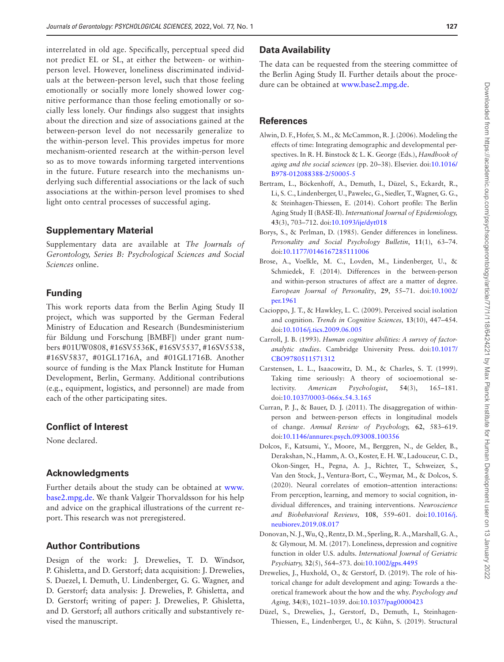interrelated in old age. Specifically, perceptual speed did not predict EL or SL, at either the between- or withinperson level. However, loneliness discriminated individuals at the between-person level, such that those feeling emotionally or socially more lonely showed lower cognitive performance than those feeling emotionally or socially less lonely. Our findings also suggest that insights about the direction and size of associations gained at the between-person level do not necessarily generalize to the within-person level. This provides impetus for more mechanism-oriented research at the within-person level so as to move towards informing targeted interventions in the future. Future research into the mechanisms underlying such differential associations or the lack of such associations at the within-person level promises to shed light onto central processes of successful aging.

# **Supplementary Material**

Supplementary data are available at *The Journals of Gerontology, Series B: Psychological Sciences and Social Sciences* online.

# **Funding**

This work reports data from the Berlin Aging Study II project, which was supported by the German Federal Ministry of Education and Research (Bundesministerium für Bildung und Forschung [BMBF]) under grant numbers #01UW0808, #16SV5536K, #16SV5537, #16SV5538, #16SV5837, #01GL1716A, and #01GL1716B. Another source of funding is the Max Planck Institute for Human Development, Berlin, Germany. Additional contributions (e.g., equipment, logistics, and personnel) are made from each of the other participating sites.

# **Conflict of Interest**

None declared.

# **Acknowledgments**

Further details about the study can be obtained at [www.](http://www.base2.mpg.de) [base2.mpg.de](http://www.base2.mpg.de). We thank Valgeir Thorvaldsson for his help and advice on the graphical illustrations of the current report. This research was not preregistered.

# **Author Contributions**

Design of the work: J. Drewelies, T. D. Windsor, P. Ghisletta, and D. Gerstorf; data acquisition: J. Drewelies, S. Duezel, I. Demuth, U. Lindenberger, G. G. Wagner, and D. Gerstorf; data analysis: J. Drewelies, P. Ghisletta, and D. Gerstorf; writing of paper: J. Drewelies, P. Ghisletta, and D. Gerstorf; all authors critically and substantively revised the manuscript.

# **Data Availability**

The data can be requested from the steering committee of the Berlin Aging Study II. Further details about the procedure can be obtained at [www.base2.mpg.de](http://www.base2.mpg.de).

# **References**

- <span id="page-9-2"></span>Alwin, D. F., Hofer, S. M., & McCammon, R. J. (2006). Modeling the effects of time: Integrating demographic and developmental perspectives. In R. H. Binstock & L. K. George (Eds.), *Handbook of aging and the social sciences* (pp. 20–38). Elsevier. doi:[10.1016/](https://doi.org/10.1016/B978-012088388-2/50005-5) [B978-012088388-2/50005-5](https://doi.org/10.1016/B978-012088388-2/50005-5)
- <span id="page-9-8"></span>Bertram, L., Böckenhoff, A., Demuth, I., Düzel, S., Eckardt, R., Li, S. C., Lindenberger, U., Pawelec, G., Siedler, T., Wagner, G. G., & Steinhagen-Thiessen, E. (2014). Cohort profile: The Berlin Aging Study II (BASE-II). *International Journal of Epidemiology,* **43**(3), 703–712. doi:[10.1093/ije/dyt018](https://doi.org/10.1093/ije/dyt018)
- <span id="page-9-7"></span>Borys, S., & Perlman, D. (1985). Gender differences in loneliness. *Personality and Social Psychology Bulletin*, **11**(1), 63–74. doi:[10.1177/0146167285111006](https://doi.org/10.1177/0146167285111006)
- <span id="page-9-1"></span>Brose, A., Voelkle, M. C., Lovden, M., Lindenberger, U., & Schmiedek, F. (2014). Differences in the between-person and within-person structures of affect are a matter of degree. *European Journal of Personality*, **29**, 55–71. doi:[10.1002/](https://doi.org/10.1002/per.1961) [per.1961](https://doi.org/10.1002/per.1961)
- <span id="page-9-0"></span>Cacioppo, J. T., & Hawkley, L. C. (2009). Perceived social isolation and cognition. *Trends in Cognitive Sciences,* **13**(10), 447–454. doi:[10.1016/j.tics.2009.06.005](https://doi.org/10.1016/j.tics.2009.06.005)
- <span id="page-9-6"></span>Carroll, J. B. (1993). *Human cognitive abilities: A survey of factoranalytic studies*. Cambridge University Press. doi:[10.1017/](https://doi.org/10.1017/CBO9780511571312) [CBO9780511571312](https://doi.org/10.1017/CBO9780511571312)
- <span id="page-9-3"></span>Carstensen, L. L., Isaacowitz, D. M., & Charles, S. T. (1999). Taking time seriously: A theory of socioemotional selectivity. *American Psychologist*, **54**(3), 165–181. doi[:10.1037/0003-066x.54.3.165](https://doi.org/10.1037/0003-066x.54.3.165)
- <span id="page-9-5"></span>Curran, P. J., & Bauer, D. J. (2011). The disaggregation of withinperson and between-person effects in longitudinal models of change. *Annual Review of Psychology,* **62**, 583–619. doi:[10.1146/annurev.psych.093008.100356](https://doi.org/10.1146/annurev.psych.093008.100356)
- <span id="page-9-10"></span>Dolcos, F., Katsumi, Y., Moore, M., Berggren, N., de Gelder, B., Derakshan, N., Hamm, A. O., Koster, E. H. W., Ladouceur, C. D., Okon-Singer, H., Pegna, A. J., Richter, T., Schweizer, S., Van den Stock, J., Ventura-Bort, C., Weymar, M., & Dolcos, S. (2020). Neural correlates of emotion–attention interactions: From perception, learning, and memory to social cognition, individual differences, and training interventions. *Neuroscience and Biobehavioral Reviews,* **108**, 559–601. doi[:10.1016/j.](https://doi.org/10.1016/j.neubiorev.2019.08.017) [neubiorev.2019.08.017](https://doi.org/10.1016/j.neubiorev.2019.08.017)
- <span id="page-9-9"></span>Donovan, N. J., Wu, Q., Rentz, D. M., Sperling, R. A., Marshall, G. A., & Glymour, M. M. (2017). Loneliness, depression and cognitive function in older U.S. adults. *International Journal of Geriatric Psychiatry,* **32**(5), 564–573. doi[:10.1002/gps.4495](https://doi.org/10.1002/gps.4495)
- <span id="page-9-11"></span>Drewelies, J., Huxhold, O., & Gerstorf, D. (2019). The role of historical change for adult development and aging: Towards a theoretical framework about the how and the why. *Psychology and Aging,* **34**(8), 1021–1039. doi[:10.1037/pag0000423](https://doi.org/10.1037/pag0000423)
- <span id="page-9-4"></span>Düzel, S., Drewelies, J., Gerstorf, D., Demuth, I., Steinhagen-Thiessen, E., Lindenberger, U., & Kühn, S. (2019). Structural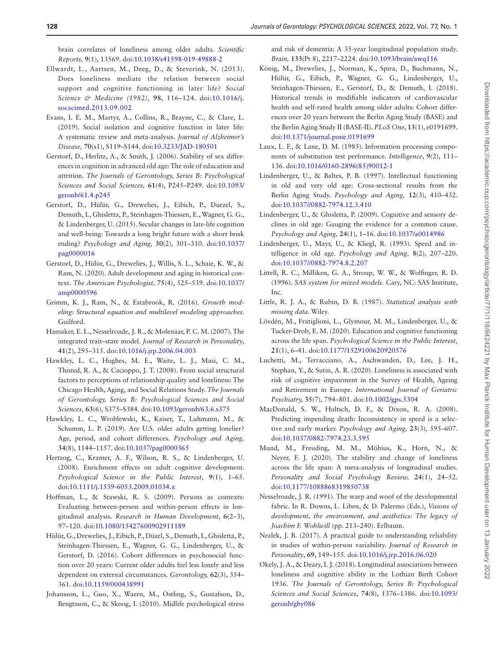brain correlates of loneliness among older adults. *Scientific Reports,* **9**(1), 13569. doi[:10.1038/s41598-019-49888-2](https://doi.org/10.1038/s41598-019-49888-2)

- <span id="page-10-5"></span>Ellwardt, L., Aartsen, M., Deeg, D., & Steverink, N. (2013). Does loneliness mediate the relation between social support and cognitive functioning in later life? *Social Science & Medicine (1982),* **98**, 116–124. doi:[10.1016/j.](https://doi.org/10.1016/j.socscimed.2013.09.002) [socscimed.2013.09.002](https://doi.org/10.1016/j.socscimed.2013.09.002)
- <span id="page-10-0"></span>Evans, I. E. M., Martyr, A., Collins, R., Brayne, C., & Clare, L. (2019). Social isolation and cognitive function in later life: A systematic review and meta-analysis. *Journal of Alzheimer's Disease,* **70**(s1), S119–S144. doi[:10.3233/JAD-180501](https://doi.org/10.3233/JAD-180501)
- <span id="page-10-14"></span>Gerstorf, D., Herlitz, A., & Smith, J. (2006). Stability of sex differences in cognition in advanced old age: The role of education and attrition. *The Journals of Gerontology, Series B: Psychological Sciences and Social Sciences,* **61**(4), P245–P249. doi:[10.1093/](https://doi.org/10.1093/geronb/61.4.p245) [geronb/61.4.p245](https://doi.org/10.1093/geronb/61.4.p245)
- <span id="page-10-23"></span>Gerstorf, D., Hülür, G., Drewelies, J., Eibich, P., Duezel, S., Demuth, I., Ghisletta, P., Steinhagen-Thiessen, E., Wagner, G. G., & Lindenberger, U. (2015). Secular changes in late-life cognition and well-being: Towards a long bright future with a short brisk ending? *Psychology and Aging,* **30**(2), 301–310. doi:[10.1037/](https://doi.org/10.1037/pag0000016) [pag0000016](https://doi.org/10.1037/pag0000016)
- <span id="page-10-26"></span>Gerstorf, D., Hülür, G., Drewelies, J., Willis, S. L., Schaie, K. W., & Ram, N. (2020). Adult development and aging in historical context. *The American Psychologist,* **75**(4), 525–539. doi:[10.1037/](https://doi.org/10.1037/amp0000596) [amp0000596](https://doi.org/10.1037/amp0000596)
- <span id="page-10-20"></span>Grimm, K. J., Ram, N., & Estabrook, R. (2016). *Growth modeling: Structural equation and multilevel modeling approaches*. Guilford.
- <span id="page-10-1"></span>Hamaker, E. L., Nesselroade, J. R., & Molenaar, P. C. M. (2007). The integrated trait–state model. *Journal of Research in Personality*, **41**(2), 295–315. doi:[10.1016/j.jrp.2006.04.003](https://doi.org/10.1016/j.jrp.2006.04.003)
- <span id="page-10-16"></span>Hawkley, L. C., Hughes, M. E., Waite, L. J., Masi, C. M., Thisted, R. A., & Cacioppo, J. T. (2008). From social structural factors to perceptions of relationship quality and loneliness: The Chicago Health, Aging, and Social Relations Study. *The Journals of Gerontology, Series B: Psychological Sciences and Social Sciences,* **63**(6), S375–S384. doi[:10.1093/geronb/63.6.s375](https://doi.org/10.1093/geronb/63.6.s375)
- <span id="page-10-24"></span>Hawkley, L. C., Wroblewski, K., Kaiser, T., Luhmann, M., & Schumm, L. P. (2019). Are U.S. older adults getting lonelier? Age, period, and cohort differences. *Psychology and Aging,* **34**(8), 1144–1157. doi:[10.1037/pag0000365](https://doi.org/10.1037/pag0000365)
- <span id="page-10-22"></span>Hertzog, C., Kramer, A. F., Wilson, R. S., & Lindenberger, U. (2008). Enrichment effects on adult cognitive development. *Psychological Science in the Public Interest*, **9**(1), 1–65. doi:[10.1111/j.1539-6053.2009.01034.x](https://doi.org/10.1111/j.1539-6053.2009.01034.x)
- <span id="page-10-8"></span>Hoffman, L., & Stawski, R. S. (2009). Persons as contexts: Evaluating between-person and within-person effects in longitudinal analysis. *Research in Human Development*, **6**(2–3), 97–120. doi[:10.1080/15427600902911189](https://doi.org/10.1080/15427600902911189)
- <span id="page-10-25"></span>Hülür, G., Drewelies, J., Eibich, P., Düzel, S., Demuth, I., Ghisletta, P., Steinhagen-Thiessen, E., Wagner, G. G., Lindenberger, U., & Gerstorf, D. (2016). Cohort differences in psychosocial function over 20 years: Current older adults feel less lonely and less dependent on external circumstances. *Gerontology,* **62**(3), 354– 361. doi[:10.1159/000438991](https://doi.org/10.1159/000438991)
- <span id="page-10-6"></span>Johansson, L., Guo, X., Waern, M., Ostling, S., Gustafson, D., Bengtsson, C., & Skoog, I. (2010). Midlife psychological stress

and risk of dementia: A 35-year longitudinal population study. *Brain,* **133**(Pt 8), 2217–2224. doi:[10.1093/brain/awq116](https://doi.org/10.1093/brain/awq116)

- <span id="page-10-21"></span>König, M., Drewelies, J., Norman, K., Spira, D., Buchmann, N., Hülür, G., Eibich, P., Wagner, G. G., Lindenberger, U., Steinhagen-Thiessen, E., Gerstorf, D., & Demuth, I. (2018). Historical trends in modifiable indicators of cardiovascular health and self-rated health among older adults: Cohort differences over 20 years between the Berlin Aging Study (BASE) and the Berlin Aging Study II (BASE-II). *PLoS One*, **13**(1), e0191699. doi:[10.1371/journal.pone.0191699](https://doi.org/10.1371/journal.pone.0191699)
- <span id="page-10-10"></span>Laux, L. F., & Lane, D. M. (1985). Information processing components of substitution test performance. *Intelligence*, **9**(2), 111– 136. doi[:10.1016/0160-2896\(85\)90012-1](https://doi.org/10.1016/0160-2896(85)90012-1)
- <span id="page-10-11"></span>Lindenberger, U., & Baltes, P. B. (1997). Intellectual functioning in old and very old age: Cross-sectional results from the Berlin Aging Study. *Psychology and Aging,* **12**(3), 410–432. doi:[10.1037//0882-7974.12.3.410](https://doi.org/10.1037//0882-7974.12.3.410)
- <span id="page-10-2"></span>Lindenberger, U., & Ghisletta, P. (2009). Cognitive and sensory declines in old age: Gauging the evidence for a common cause. *Psychology and Aging,* **24**(1), 1–16. doi[:10.1037/a0014986](https://doi.org/10.1037/a0014986)
- <span id="page-10-13"></span>Lindenberger, U., Mayr, U., & Kliegl, R. (1993). Speed and intelligence in old age. *Psychology and Aging,* **8**(2), 207–220. doi:[10.1037//0882-7974.8.2.207](https://doi.org/10.1037//0882-7974.8.2.207)
- <span id="page-10-18"></span>Littell, R. C., Milliken, G. A., Stroup, W. W., & Wolfinger, R. D. (1996). *SAS system for mixed models.* Cary, NC: SAS Institute, Inc.
- <span id="page-10-19"></span>Little, R. J. A., & Rubin, D. B. (1987). *Statistical analysis with missing data*. Wiley.
- <span id="page-10-15"></span>Lövdén, M., Fratiglioni, L., Glymour, M. M., Lindenberger, U., & Tucker-Drob, E. M. (2020). Education and cognitive functioning across the life span. *Psychological Science in the Public Interest,* **21**(1), 6–41. doi[:10.1177/1529100620920576](https://doi.org/10.1177/1529100620920576)
- <span id="page-10-7"></span>Luchetti, M., Terracciano, A., Aschwanden, D., Lee, J. H., Stephan, Y., & Sutin, A. R. (2020). Loneliness is associated with risk of cognitive impairment in the Survey of Health, Ageing and Retirement in Europe. *International Journal of Geriatric Psychiatry,* **35**(7), 794–801. doi[:10.1002/gps.5304](https://doi.org/10.1002/gps.5304)
- <span id="page-10-12"></span>MacDonald, S. W., Hultsch, D. F., & Dixon, R. A. (2008). Predicting impending death: Inconsistency in speed is a selective and early marker. *Psychology and Aging,* **23**(3), 595–607. doi:[10.1037/0882-7974.23.3.595](https://doi.org/10.1037/0882-7974.23.3.595)
- <span id="page-10-3"></span>Mund, M., Freuding, M. M., Möbius, K., Horn, N., & Neyer, F. J. (2020). The stability and change of loneliness across the life span: A meta-analysis of longitudinal studies. *Personality and Social Psychology Review,* **24**(1), 24–52. doi:[10.1177/1088868319850738](https://doi.org/10.1177/1088868319850738)
- <span id="page-10-9"></span>Nesselroade, J. R. (1991). The warp and woof of the developmental fabric. In R. Downs, L. Liben, & D. Palermo (Eds.), *Visions of development, the environment, and aesthetics: The legacy of Joachim F. Wohlwill* (pp. 213–240). Erlbaum.
- <span id="page-10-17"></span>Nezlek, J. B. (2017). A practical guide to understanding reliability in studies of within-person variability. *Journal of Research in Personality*, **69**, 149–155. doi:[10.1016/j.jrp.2016.06.020](https://doi.org/10.1016/j.jrp.2016.06.020)
- <span id="page-10-4"></span>Okely, J. A., & Deary, I. J. (2018). Longitudinal associations between loneliness and cognitive ability in the Lothian Birth Cohort 1936. *The Journals of Gerontology, Series B: Psychological Sciences and Social Sciences*, **74**(8), 1376–1386. doi:[10.1093/](https://doi.org/10.1093/geronb/gby086) [geronb/gby086](https://doi.org/10.1093/geronb/gby086)